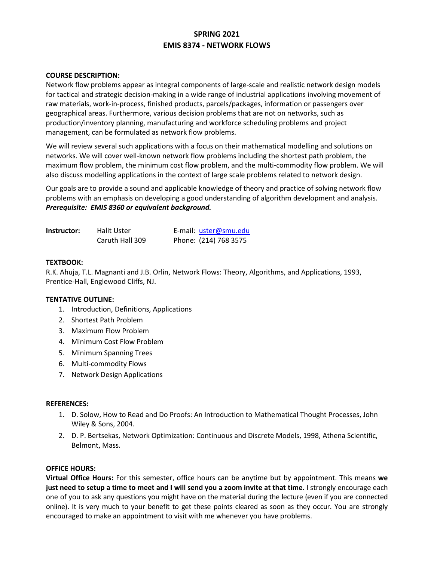# **SPRING 2021 EMIS 8374 - NETWORK FLOWS**

### **COURSE DESCRIPTION:**

Network flow problems appear as integral components of large-scale and realistic network design models for tactical and strategic decision-making in a wide range of industrial applications involving movement of raw materials, work-in-process, finished products, parcels/packages, information or passengers over geographical areas. Furthermore, various decision problems that are not on networks, such as production/inventory planning, manufacturing and workforce scheduling problems and project management, can be formulated as network flow problems.

We will review several such applications with a focus on their mathematical modelling and solutions on networks. We will cover well-known network flow problems including the shortest path problem, the maximum flow problem, the minimum cost flow problem, and the multi-commodity flow problem. We will also discuss modelling applications in the context of large scale problems related to network design.

Our goals are to provide a sound and applicable knowledge of theory and practice of solving network flow problems with an emphasis on developing a good understanding of algorithm development and analysis. *Prerequisite: EMIS 8360 or equivalent background.* 

| Instructor: | Halit Uster     | E-mail: uster@smu.edu |
|-------------|-----------------|-----------------------|
|             | Caruth Hall 309 | Phone: (214) 768 3575 |

#### **TEXTBOOK:**

R.K. Ahuja, T.L. Magnanti and J.B. Orlin, Network Flows: Theory, Algorithms, and Applications, 1993, Prentice-Hall, Englewood Cliffs, NJ.

#### **TENTATIVE OUTLINE:**

- 1. Introduction, Definitions, Applications
- 2. Shortest Path Problem
- 3. Maximum Flow Problem
- 4. Minimum Cost Flow Problem
- 5. Minimum Spanning Trees
- 6. Multi-commodity Flows
- 7. Network Design Applications

#### **REFERENCES:**

- 1. D. Solow, How to Read and Do Proofs: An Introduction to Mathematical Thought Processes, John Wiley & Sons, 2004.
- 2. D. P. Bertsekas, Network Optimization: Continuous and Discrete Models, 1998, Athena Scientific, Belmont, Mass.

#### **OFFICE HOURS:**

**Virtual Office Hours:** For this semester, office hours can be anytime but by appointment. This means **we just need to setup a time to meet and I will send you a zoom invite at that time.** I strongly encourage each one of you to ask any questions you might have on the material during the lecture (even if you are connected online). It is very much to your benefit to get these points cleared as soon as they occur. You are strongly encouraged to make an appointment to visit with me whenever you have problems.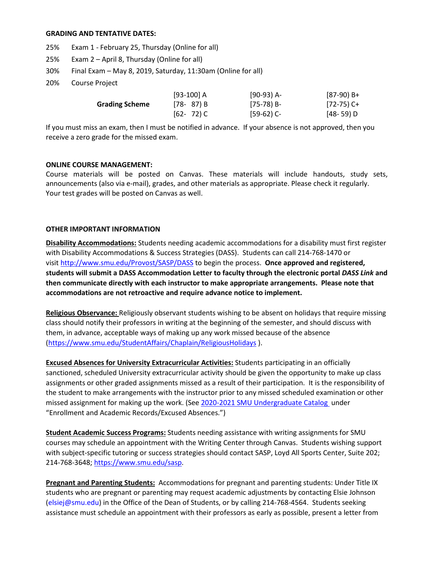#### **GRADING AND TENTATIVE DATES:**

- 25% Exam 1 February 25, Thursday (Online for all)
- 25% Exam 2 April 8, Thursday (Online for all)
- 30% Final Exam May 8, 2019, Saturday, 11:30am (Online for all)
- 20% Course Project

|                       | $[93-100] A$  | $[90-93]$ A- | [87-90) B+  |
|-----------------------|---------------|--------------|-------------|
| <b>Grading Scheme</b> | $[78 - 87] B$ | [75-78) B-   | [72-75) C+  |
|                       | $[62 - 72)$ C | $[59-62)$ C- | $[48-59]$ D |

If you must miss an exam, then I must be notified in advance. If your absence is not approved, then you receive a zero grade for the missed exam.

#### **ONLINE COURSE MANAGEMENT:**

Course materials will be posted on Canvas. These materials will include handouts, study sets, announcements (also via e-mail), grades, and other materials as appropriate. Please check it regularly. Your test grades will be posted on Canvas as well.

#### **OTHER IMPORTANT INFORMATION**

**Disability Accommodations:** Students needing academic accommodations for a disability must first register with Disability Accommodations & Success Strategies (DASS). Students can call 214-768-1470 or visit [http://www.smu.edu/Provost/SASP/DASS](https://www.smu.edu/Provost/SASP/DASS/DisabilityAccommodations) to begin the process. **Once approved and registered, students will submit a DASS Accommodation Letter to faculty through the electronic portal** *DASS Link* **and then communicate directly with each instructor to make appropriate arrangements. Please note that accommodations are not retroactive and require advance notice to implement.**

**Religious Observance:** Religiously observant students wishing to be absent on holidays that require missing class should notify their professors in writing at the beginning of the semester, and should discuss with them, in advance, acceptable ways of making up any work missed because of the absence [\(https://www.smu.edu/StudentAffairs/Chaplain/ReligiousHolidays](https://www.smu.edu/StudentAffairs/Chaplain/ReligiousHolidays) ).

**Excused Absences for University Extracurricular Activities:** Students participating in an officially sanctioned, scheduled University extracurricular activity should be given the opportunity to make up class assignments or other graded assignments missed as a result of their participation. It is the responsibility of the student to make arrangements with the instructor prior to any missed scheduled examination or other missed assignment for making up the work. (Se[e 2020-2021 SMU Undergraduate Catalog](https://catalog.smu.edu/content.php?catoid=51&navoid=4645&hl=%22excused+absences%22&returnto=search) under "Enrollment and Academic Records/Excused Absences.")

**Student Academic Success Programs:** Students needing assistance with writing assignments for SMU courses may schedule an appointment with the Writing Center through Canvas. Students wishing support with subject-specific tutoring or success strategies should contact SASP, Loyd All Sports Center, Suite 202; 214-768-3648[; https://www.smu.edu/sasp.](https://www.smu.edu/sasp)

**Pregnant and Parenting Students:** Accommodations for pregnant and parenting students: Under Title IX students who are pregnant or parenting may request academic adjustments by contacting Elsie Johnson [\(elsiej@smu.edu\)](mailto:elsiej@smu.edu) in the Office of the Dean of Students, or by calling 214-768-4564. Students seeking assistance must schedule an appointment with their professors as early as possible, present a letter from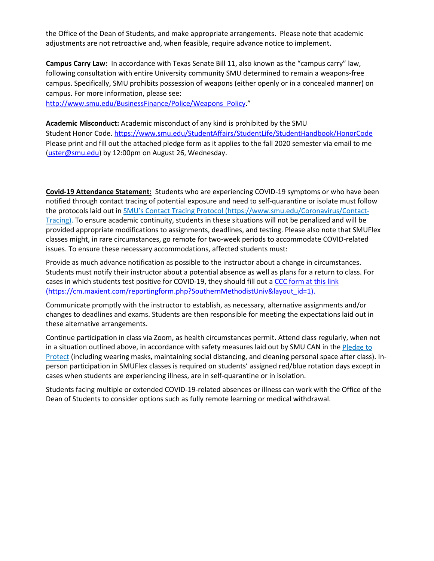the Office of the Dean of Students, and make appropriate arrangements. Please note that academic adjustments are not retroactive and, when feasible, require advance notice to implement.

**Campus Carry Law:** In accordance with Texas Senate Bill 11, also known as the "campus carry" law, following consultation with entire University community SMU determined to remain a weapons-free campus. Specifically, SMU prohibits possession of weapons (either openly or in a concealed manner) on campus. For more information, please see:

[http://www.smu.edu/BusinessFinance/Police/Weapons\\_Policy.](http://www.smu.edu/BusinessFinance/Police/Weapons_Policy)"

**Academic Misconduct:** Academic misconduct of any kind is prohibited by the SMU Student Honor Code. <https://www.smu.edu/StudentAffairs/StudentLife/StudentHandbook/HonorCode> Please print and fill out the attached pledge form as it applies to the fall 2020 semester via email to me [\(uster@smu.edu\)](mailto:uster@smu.edu) by 12:00pm on August 26, Wednesday.

**Covid-19 Attendance Statement:** Students who are experiencing COVID-19 symptoms or who have been notified through contact tracing of potential exposure and need to self-quarantine or isolate must follow the protocols laid out in [SMU's Contact Tracing Protocol](https://www.smu.edu/Coronavirus/Contact-Tracing) (https://www.smu.edu/Coronavirus/Contact-Tracing). To ensure academic continuity, students in these situations will not be penalized and will be provided appropriate modifications to assignments, deadlines, and testing. Please also note that SMUFlex classes might, in rare circumstances, go remote for two-week periods to accommodate COVID-related issues. To ensure these necessary accommodations, affected students must:

Provide as much advance notification as possible to the instructor about a change in circumstances. Students must notify their instructor about a potential absence as well as plans for a return to class. For cases in which students test positive for COVID-19, they should fill out [a CCC form at this link](https://cm.maxient.com/reportingform.php?SouthernMethodistUniv&layout_id=1) (https://cm.maxient.com/reportingform.php?SouthernMethodistUniv&layout\_id=1).

Communicate promptly with the instructor to establish, as necessary, alternative assignments and/or changes to deadlines and exams. Students are then responsible for meeting the expectations laid out in these alternative arrangements.

Continue participation in class via Zoom, as health circumstances permit. Attend class regularly, when not in a situation outlined above, in accordance with safety measures laid out by SMU CAN in the [Pledge to](https://smu.az1.qualtrics.com/jfe/form/SV_2ib3rgSmWNktGvj)  [Protect](https://smu.az1.qualtrics.com/jfe/form/SV_2ib3rgSmWNktGvj) (including wearing masks, maintaining social distancing, and cleaning personal space after class). Inperson participation in SMUFlex classes is required on students' assigned red/blue rotation days except in cases when students are experiencing illness, are in self-quarantine or in isolation.

Students facing multiple or extended COVID-19-related absences or illness can work with the Office of the Dean of Students to consider options such as fully remote learning or medical withdrawal.